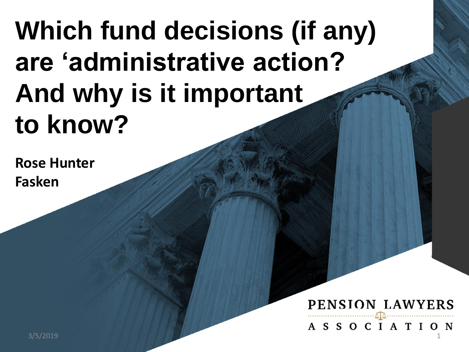# **Which fund decisions (if any) are 'administrative action? And why is it important to know?**

**Rose Hunter Fasken**

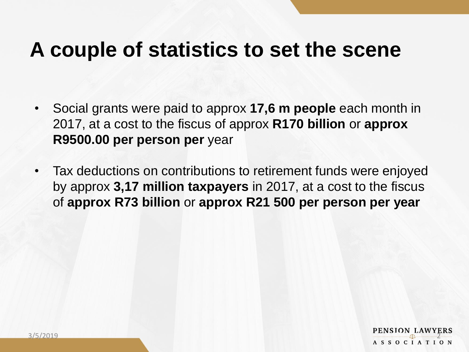### **A couple of statistics to set the scene**

- Social grants were paid to approx **17,6 m people** each month in 2017, at a cost to the fiscus of approx **R170 billion** or **approx R9500.00 per person per** year
- Tax deductions on contributions to retirement funds were enjoyed by approx **3,17 million taxpayers** in 2017, at a cost to the fiscus of **approx R73 billion** or **approx R21 500 per person per year**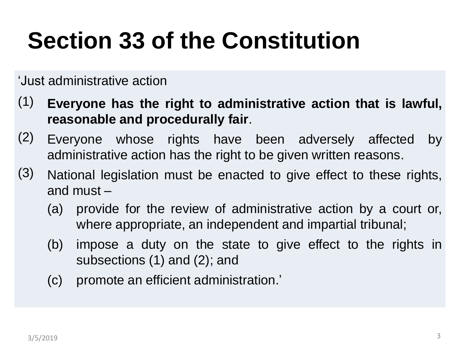# **Section 33 of the Constitution**

'Just administrative action

- (1) **Everyone has the right to administrative action that is lawful, reasonable and procedurally fair**.
- (2) Everyone whose rights have been adversely affected by administrative action has the right to be given written reasons.
- (3) National legislation must be enacted to give effect to these rights, and must –
	- (a) provide for the review of administrative action by a court or, where appropriate, an independent and impartial tribunal;
	- (b) impose a duty on the state to give effect to the rights in subsections (1) and (2); and
	- (c) promote an efficient administration.'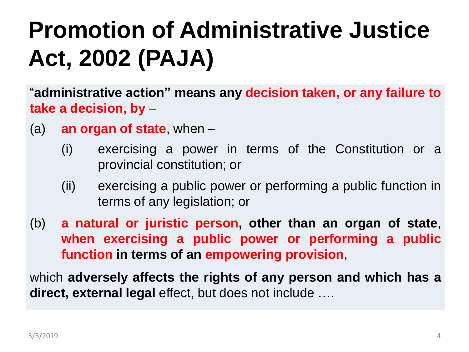# **Promotion of Administrative Justice Act, 2002 (PAJA)**

"**administrative action" means any decision taken, or any failure to take a decision, by** –

- (a) **an organ of state**, when
	- (i) exercising a power in terms of the Constitution or a provincial constitution; or
	- (ii) exercising a public power or performing a public function in terms of any legislation; or
- (b) **a natural or juristic person, other than an organ of state**, **when exercising a public power or performing a public function in terms of an empowering provision**,

which **adversely affects the rights of any person and which has a direct, external legal** effect, but does not include ….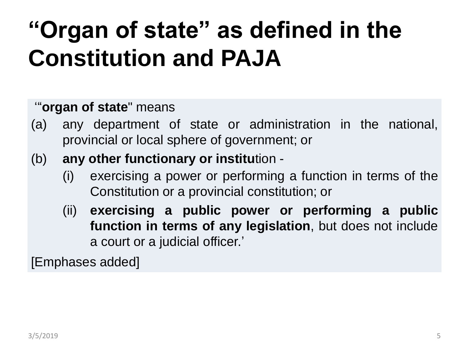## **"Organ of state" as defined in the Constitution and PAJA**

#### '"**organ of state**" means

- (a) any department of state or administration in the national, provincial or local sphere of government; or
- (b) **any other functionary or institu**tion
	- (i) exercising a power or performing a function in terms of the Constitution or a provincial constitution; or
	- (ii) **exercising a public power or performing a public function in terms of any legislation**, but does not include a court or a judicial officer.'

[Emphases added]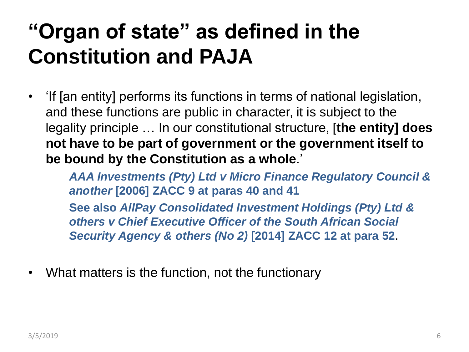### **"Organ of state" as defined in the Constitution and PAJA**

• 'If [an entity] performs its functions in terms of national legislation, and these functions are public in character, it is subject to the legality principle … In our constitutional structure, [**the entity] does not have to be part of government or the government itself to be bound by the Constitution as a whole**.'

*AAA Investments (Pty) Ltd v Micro Finance Regulatory Council & another* **[2006] ZACC 9 at paras 40 and 41 See also** *AllPay Consolidated Investment Holdings (Pty) Ltd & others v Chief Executive Officer of the South African Social Security Agency & others (No 2)* **[2014] ZACC 12 at para 52**.

• What matters is the function, not the functionary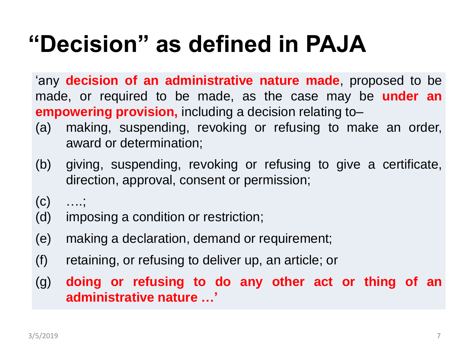## **"Decision" as defined in PAJA**

'any **decision of an administrative nature made**, proposed to be made, or required to be made, as the case may be **under an empowering provision,** including a decision relating to–

- (a) making, suspending, revoking or refusing to make an order, award or determination;
- (b) giving, suspending, revoking or refusing to give a certificate, direction, approval, consent or permission;

- (d) imposing a condition or restriction;
- (e) making a declaration, demand or requirement;
- (f) retaining, or refusing to deliver up, an article; or
- (g) **doing or refusing to do any other act or thing of an administrative nature …'**

 $(C)$  ...;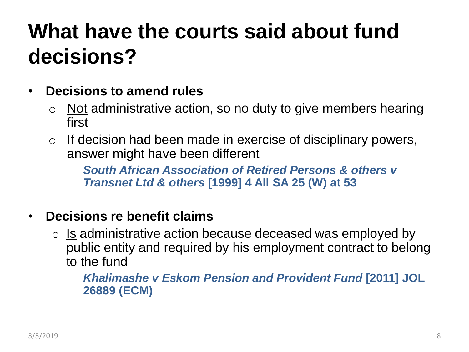### **What have the courts said about fund decisions?**

- **Decisions to amend rules**
	- $\circ$  Not administrative action, so no duty to give members hearing first
	- $\circ$  If decision had been made in exercise of disciplinary powers, answer might have been different

*South African Association of Retired Persons & others v Transnet Ltd & others* **[1999] 4 All SA 25 (W) at 53**

#### • **Decisions re benefit claims**

 $\circ$  Is administrative action because deceased was employed by public entity and required by his employment contract to belong to the fund

*Khalimashe v Eskom Pension and Provident Fund* **[2011] JOL 26889 (ECM)**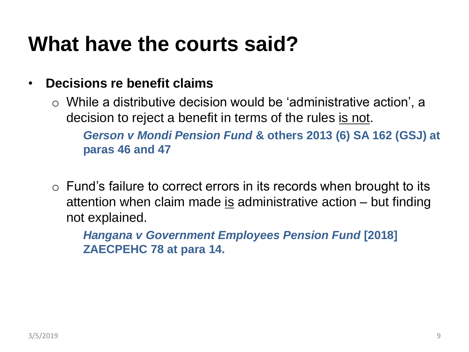### **What have the courts said?**

#### • **Decisions re benefit claims**

 $\circ$  While a distributive decision would be 'administrative action', a decision to reject a benefit in terms of the rules is not.

*Gerson v Mondi Pension Fund* **& others 2013 (6) SA 162 (GSJ) at paras 46 and 47**

 $\circ$  Fund's failure to correct errors in its records when brought to its attention when claim made is administrative action  $-$  but finding not explained.

*Hangana v Government Employees Pension Fund* **[2018] ZAECPEHC 78 at para 14.**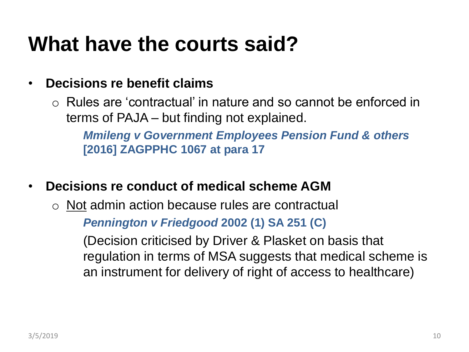### **What have the courts said?**

#### • **Decisions re benefit claims**

o Rules are 'contractual' in nature and so cannot be enforced in terms of PAJA – but finding not explained.

*Mmileng v Government Employees Pension Fund & others* **[2016] ZAGPPHC 1067 at para 17**

- **Decisions re conduct of medical scheme AGM**
	- o Not admin action because rules are contractual *Pennington v Friedgood* **2002 (1) SA 251 (C)**

(Decision criticised by Driver & Plasket on basis that regulation in terms of MSA suggests that medical scheme is an instrument for delivery of right of access to healthcare)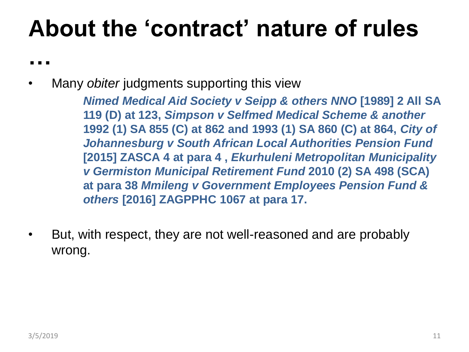## **About the 'contract' nature of rules**

**…**

• Many *obiter* judgments supporting this view

*Nimed Medical Aid Society v Seipp & others NNO* **[1989] 2 All SA 119 (D) at 123,** *Simpson v Selfmed Medical Scheme & another* **1992 (1) SA 855 (C) at 862 and 1993 (1) SA 860 (C) at 864,** *City of Johannesburg v South African Local Authorities Pension Fund* **[2015] ZASCA 4 at para 4 ,** *Ekurhuleni Metropolitan Municipality v Germiston Municipal Retirement Fund* **2010 (2) SA 498 (SCA) at para 38** *Mmileng v Government Employees Pension Fund & others* **[2016] ZAGPPHC 1067 at para 17.**

• But, with respect, they are not well-reasoned and are probably wrong.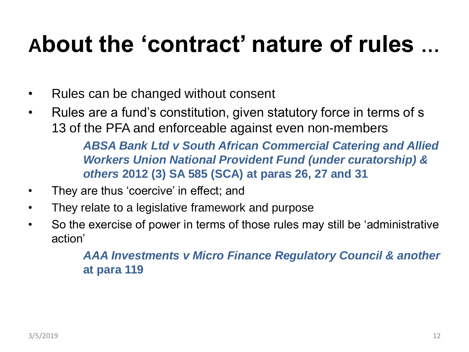## **About the 'contract' nature of rules …**

- Rules can be changed without consent
- Rules are a fund's constitution, given statutory force in terms of s 13 of the PFA and enforceable against even non-members

*ABSA Bank Ltd v South African Commercial Catering and Allied Workers Union National Provident Fund (under curatorship) & others* **2012 (3) SA 585 (SCA) at paras 26, 27 and 31**

- They are thus 'coercive' in effect; and
- They relate to a legislative framework and purpose
- So the exercise of power in terms of those rules may still be 'administrative action'

*AAA Investments v Micro Finance Regulatory Council & another* **at para 119**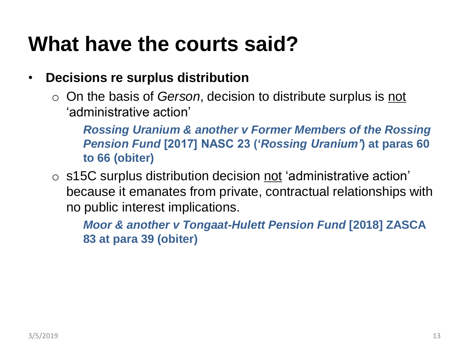### **What have the courts said?**

#### • **Decisions re surplus distribution**

o On the basis of *Gerson*, decision to distribute surplus is not 'administrative action'

*Rossing Uranium & another v Former Members of the Rossing Pension Fund* **[2017] NASC 23 ('***Rossing Uranium'***) at paras 60 to 66 (obiter)**

 $\circ$  s15C surplus distribution decision not 'administrative action' because it emanates from private, contractual relationships with no public interest implications.

*Moor & another v Tongaat-Hulett Pension Fund* **[2018] ZASCA 83 at para 39 (obiter)**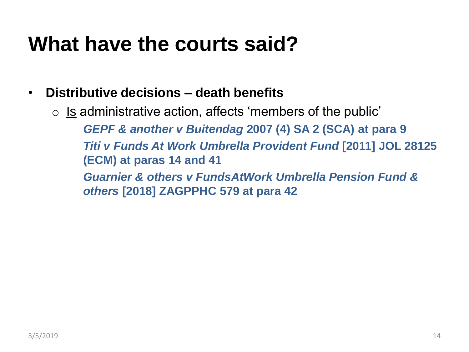### **What have the courts said?**

#### • **Distributive decisions – death benefits**

 $\circ$  Is administrative action, affects 'members of the public' *GEPF & another v Buitendag* **2007 (4) SA 2 (SCA) at para 9** *Titi v Funds At Work Umbrella Provident Fund* **[2011] JOL 28125 (ECM) at paras 14 and 41** *Guarnier & others v FundsAtWork Umbrella Pension Fund & others* **[2018] ZAGPPHC 579 at para 42**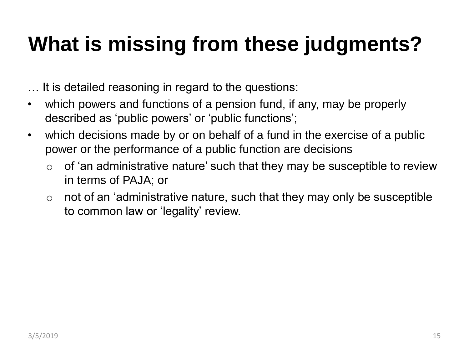## **What is missing from these judgments?**

… It is detailed reasoning in regard to the questions:

- which powers and functions of a pension fund, if any, may be properly described as 'public powers' or 'public functions';
- which decisions made by or on behalf of a fund in the exercise of a public power or the performance of a public function are decisions
	- $\circ$  of 'an administrative nature' such that they may be susceptible to review in terms of PAJA; or
	- $\circ$  not of an 'administrative nature, such that they may only be susceptible to common law or 'legality' review.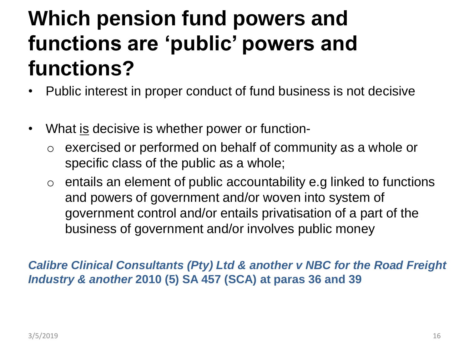### **Which pension fund powers and functions are 'public' powers and functions?**

- Public interest in proper conduct of fund business is not decisive
- What <u>is</u> decisive is whether power or function
	- o exercised or performed on behalf of community as a whole or specific class of the public as a whole;
	- $\circ$  entails an element of public accountability e.g linked to functions and powers of government and/or woven into system of government control and/or entails privatisation of a part of the business of government and/or involves public money

*Calibre Clinical Consultants (Pty) Ltd & another v NBC for the Road Freight Industry & another* **2010 (5) SA 457 (SCA) at paras 36 and 39**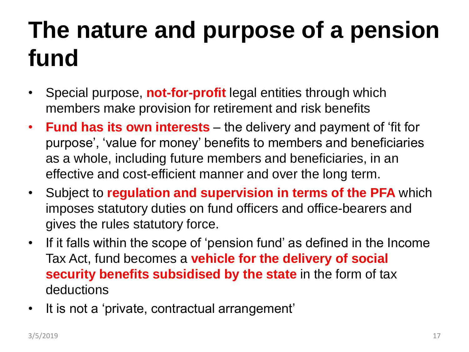# **The nature and purpose of a pension fund**

- Special purpose, **not-for-profit** legal entities through which members make provision for retirement and risk benefits
- **Fund has its own interests**  the delivery and payment of 'fit for purpose', 'value for money' benefits to members and beneficiaries as a whole, including future members and beneficiaries, in an effective and cost-efficient manner and over the long term.
- Subject to **regulation and supervision in terms of the PFA** which imposes statutory duties on fund officers and office-bearers and gives the rules statutory force.
- If it falls within the scope of 'pension fund' as defined in the Income Tax Act, fund becomes a **vehicle for the delivery of social security benefits subsidised by the state** in the form of tax deductions
- It is not a 'private, contractual arrangement'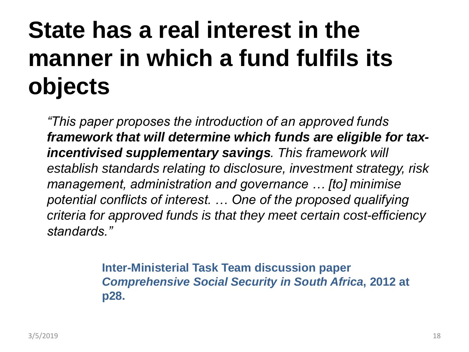## **State has a real interest in the manner in which a fund fulfils its objects**

*"This paper proposes the introduction of an approved funds framework that will determine which funds are eligible for taxincentivised supplementary savings. This framework will establish standards relating to disclosure, investment strategy, risk management, administration and governance … [to] minimise potential conflicts of interest. … One of the proposed qualifying criteria for approved funds is that they meet certain cost-efficiency standards."*

> **Inter-Ministerial Task Team discussion paper**  *Comprehensive Social Security in South Africa***, 2012 at p28.**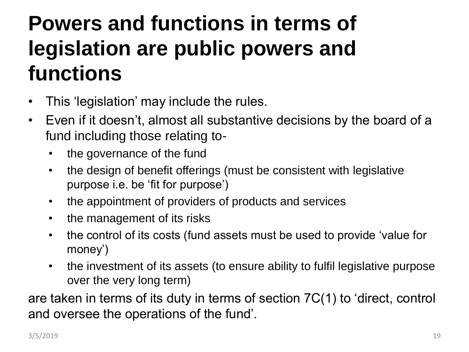## **Powers and functions in terms of legislation are public powers and functions**

- This 'legislation' may include the rules.
- Even if it doesn't, almost all substantive decisions by the board of a fund including those relating to-
	- the governance of the fund
	- the design of benefit offerings (must be consistent with legislative purpose i.e. be 'fit for purpose')
	- the appointment of providers of products and services
	- the management of its risks
	- the control of its costs (fund assets must be used to provide 'value for money')
	- the investment of its assets (to ensure ability to fulfil legislative purpose over the very long term)

are taken in terms of its duty in terms of section 7C(1) to 'direct, control and oversee the operations of the fund'.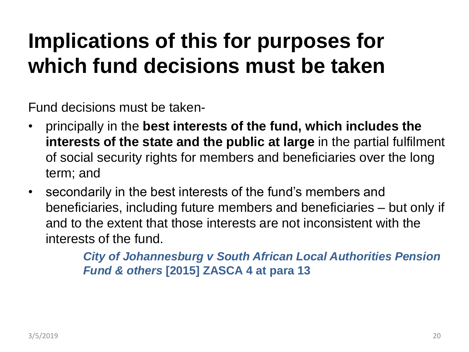## **Implications of this for purposes for which fund decisions must be taken**

Fund decisions must be taken-

- principally in the **best interests of the fund, which includes the interests of the state and the public at large** in the partial fulfilment of social security rights for members and beneficiaries over the long term; and
- secondarily in the best interests of the fund's members and beneficiaries, including future members and beneficiaries – but only if and to the extent that those interests are not inconsistent with the interests of the fund.

*City of Johannesburg v South African Local Authorities Pension Fund & others* **[2015] ZASCA 4 at para 13**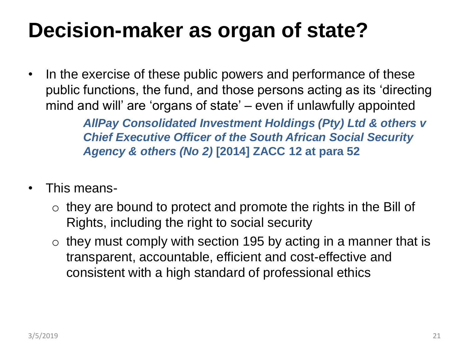### **Decision-maker as organ of state?**

• In the exercise of these public powers and performance of these public functions, the fund, and those persons acting as its 'directing mind and will' are 'organs of state' – even if unlawfully appointed

> *AllPay Consolidated Investment Holdings (Pty) Ltd & others v Chief Executive Officer of the South African Social Security Agency & others (No 2)* **[2014] ZACC 12 at para 52**

- This means-
	- $\circ$  they are bound to protect and promote the rights in the Bill of Rights, including the right to social security
	- $\circ$  they must comply with section 195 by acting in a manner that is transparent, accountable, efficient and cost-effective and consistent with a high standard of professional ethics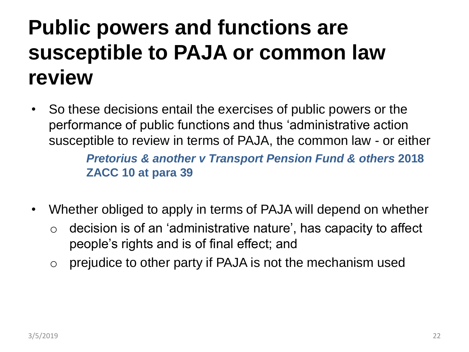## **Public powers and functions are susceptible to PAJA or common law review**

- So these decisions entail the exercises of public powers or the performance of public functions and thus 'administrative action susceptible to review in terms of PAJA, the common law - or either *Pretorius & another v Transport Pension Fund & others* **2018 ZACC 10 at para 39**
- Whether obliged to apply in terms of PAJA will depend on whether
	- $\circ$  decision is of an 'administrative nature', has capacity to affect people's rights and is of final effect; and
	- $\circ$  prejudice to other party if PAJA is not the mechanism used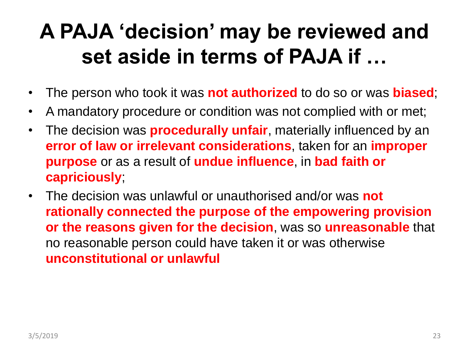### **A PAJA 'decision' may be reviewed and set aside in terms of PAJA if …**

- The person who took it was **not authorized** to do so or was **biased**;
- A mandatory procedure or condition was not complied with or met;
- The decision was **procedurally unfair**, materially influenced by an **error of law or irrelevant considerations**, taken for an **improper purpose** or as a result of **undue influence**, in **bad faith or capriciously**;
- The decision was unlawful or unauthorised and/or was **not rationally connected the purpose of the empowering provision or the reasons given for the decision**, was so **unreasonable** that no reasonable person could have taken it or was otherwise **unconstitutional or unlawful**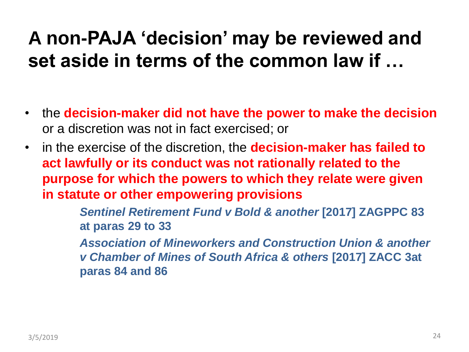### **A non-PAJA 'decision' may be reviewed and set aside in terms of the common law if …**

- the **decision-maker did not have the power to make the decision** or a discretion was not in fact exercised; or
- in the exercise of the discretion, the **decision-maker has failed to act lawfully or its conduct was not rationally related to the purpose for which the powers to which they relate were given in statute or other empowering provisions**

*Sentinel Retirement Fund v Bold & another* **[2017] ZAGPPC 83 at paras 29 to 33**

*Association of Mineworkers and Construction Union & another v Chamber of Mines of South Africa & others* **[2017] ZACC 3at paras 84 and 86**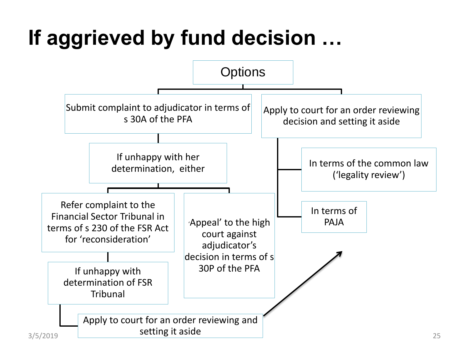## **If aggrieved by fund decision …**

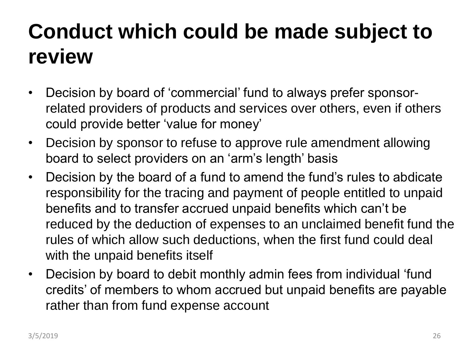## **Conduct which could be made subject to review**

- Decision by board of 'commercial' fund to always prefer sponsorrelated providers of products and services over others, even if others could provide better 'value for money'
- Decision by sponsor to refuse to approve rule amendment allowing board to select providers on an 'arm's length' basis
- Decision by the board of a fund to amend the fund's rules to abdicate responsibility for the tracing and payment of people entitled to unpaid benefits and to transfer accrued unpaid benefits which can't be reduced by the deduction of expenses to an unclaimed benefit fund the rules of which allow such deductions, when the first fund could deal with the unpaid benefits itself
- Decision by board to debit monthly admin fees from individual 'fund credits' of members to whom accrued but unpaid benefits are payable rather than from fund expense account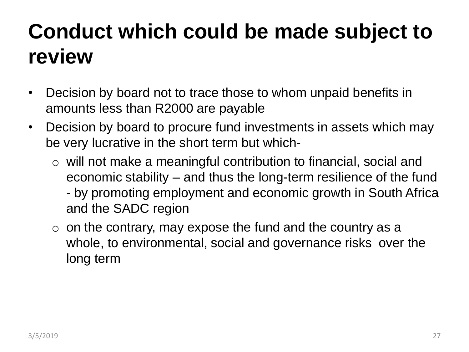## **Conduct which could be made subject to review**

- Decision by board not to trace those to whom unpaid benefits in amounts less than R2000 are payable
- Decision by board to procure fund investments in assets which may be very lucrative in the short term but which
	- o will not make a meaningful contribution to financial, social and economic stability – and thus the long-term resilience of the fund - by promoting employment and economic growth in South Africa and the SADC region
	- $\circ$  on the contrary, may expose the fund and the country as a whole, to environmental, social and governance risks over the long term